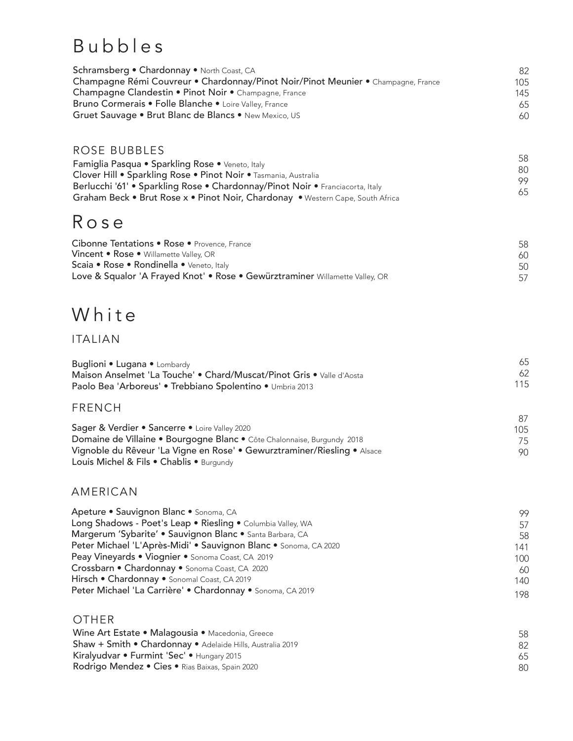## Bubbles

| <b>Schramsberg • Chardonnay •</b> North Coast, CA                                 | 82  |
|-----------------------------------------------------------------------------------|-----|
| Champagne Rémi Couvreur • Chardonnay/Pinot Noir/Pinot Meunier • Champagne, France | 105 |
| Champagne Clandestin • Pinot Noir • Champagne, France                             | 145 |
| <b>Bruno Cormerais • Folle Blanche •</b> Loire Valley, France                     | 65  |
| Gruet Sauvage • Brut Blanc de Blancs • New Mexico, US                             | 60  |

#### ROSE BUBBLES

58 80 99 65 Famiglia Pasqua • Sparkling Rose • Veneto, Italy Clover Hill • Sparkling Rose • Pinot Noir • Tasmania, Australia Berlucchi '61' • Sparkling Rose • Chardonnay/Pinot Noir • Franciacorta, Italy Graham Beck • Brut Rose x • Pinot Noir, Chardonay • Western Cape, South Africa

## Rose

| Cibonne Tentations • Rose • Provence, France                                 | 58  |
|------------------------------------------------------------------------------|-----|
| Vincent • Rose • Willamette Valley, OR                                       | 60  |
| Scaia • Rose • Rondinella • Veneto, Italy                                    | 50  |
| Love & Squalor 'A Frayed Knot' • Rose • Gewürztraminer Willamette Valley, OR | .57 |

## White

#### ITALIAN

| Buglioni • Lugana • Lombardy                                          |     |
|-----------------------------------------------------------------------|-----|
| Maison Anselmet 'La Touche' • Chard/Muscat/Pinot Gris • Valle d'Aosta |     |
| Paolo Bea 'Arboreus' • Trebbiano Spolentino • Umbria 2013             | 115 |

#### FRENCH

|                                                                          | $\Omega$ |
|--------------------------------------------------------------------------|----------|
| Sager & Verdier • Sancerre • Loire Valley 2020                           | 105      |
| Domaine de Villaine • Bourgogne Blanc • Côte Chalonnaise, Burgundy 2018  | 75       |
| Vignoble du Rêveur 'La Vigne en Rose' • Gewurztraminer/Riesling • Alsace | 90       |
| Louis Michel & Fils $\bullet$ Chablis $\bullet$ Burgundy                 |          |

 $0<sub>7</sub>$ 

#### AMERICAN

| Apeture • Sauvignon Blanc • Sonoma, CA                           | 99  |
|------------------------------------------------------------------|-----|
| Long Shadows - Poet's Leap . Riesling . Columbia Valley, WA      | 57  |
| Margerum 'Sybarite' • Sauvignon Blanc • Santa Barbara, CA        | .58 |
| Peter Michael 'L'Après-Midi' • Sauvignon Blanc • Sonoma, CA 2020 | 141 |
| Peay Vineyards • Viognier • Sonoma Coast, CA 2019                | 100 |
| Crossbarn • Chardonnay • Sonoma Coast, CA 2020                   | 60  |
| Hirsch . Chardonnay . Sonomal Coast, CA 2019                     | 140 |
| Peter Michael 'La Carrière' • Chardonnay • Sonoma, CA 2019       | 198 |

#### OTHER Wine Art Estate • Malagousia • Macedonia, Greece Shaw + Smith • Chardonnay • Adelaide Hills, Australia 2019 Kiralyudvar • Furmint 'Sec' • Hungary 2015 Rodrigo Mendez • Cies • Rias Baixas, Spain 2020 58 82 65 80